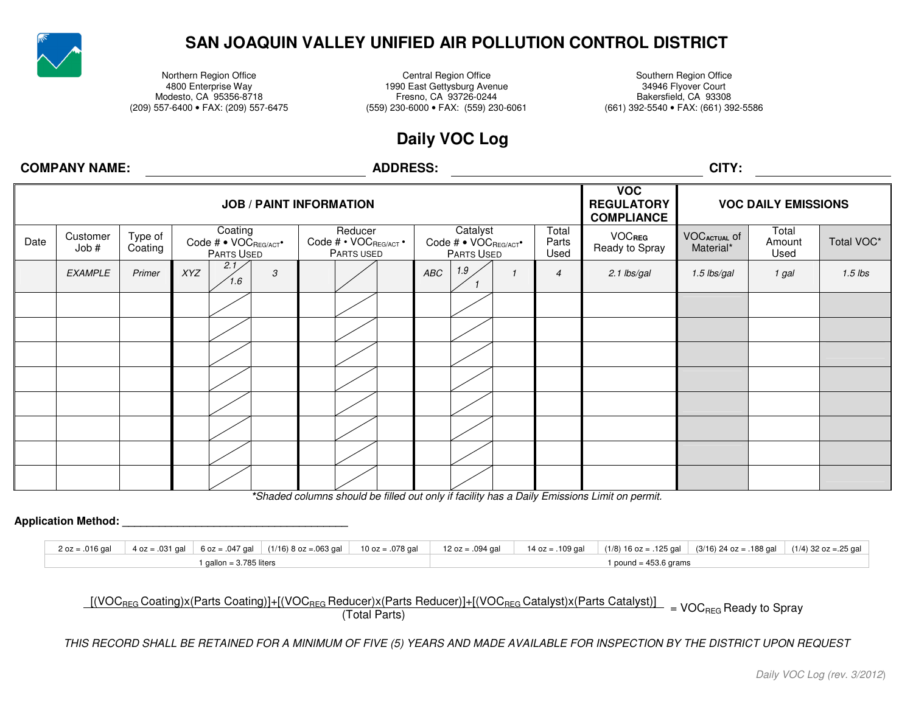

# **SAN JOAQUIN VALLEY UNIFIED AIR POLLUTION CONTROL DISTRICT**

Northern Region Office **Central Region Office** Southern Region Office **Central Region Office** Southern Region Office 4800 Enterprise Way 1990 East Gettysburg Avenue 34946 Flyover Court Modesto, CA 95356-8718 Fresno, CA 93726-0244 Bakersfield, CA 93308

Bakersfield, CA 93308 (661) 392-5540 · FAX: (661) 392-5586 (209) 557-6400 • FAX: (209) 557-6475 (559) 230-6000 • FAX: (559) 230-6061 (661) 392-5540 • FAX: (661) 392-5586

# **Daily VOC Log**

## **COMPANY NAME:**

## **ADDRESS: CITY:**

| <b>JOB / PAINT INFORMATION</b> |                  |                    |                                               |                                                |                                                |                        | <b>VOC</b><br><b>REGULATORY</b><br><b>COMPLIANCE</b> | <b>VOC DAILY EMISSIONS</b>                                  |       |            |
|--------------------------------|------------------|--------------------|-----------------------------------------------|------------------------------------------------|------------------------------------------------|------------------------|------------------------------------------------------|-------------------------------------------------------------|-------|------------|
| Date                           | Customer<br>Job# | Type of<br>Coating | Coating<br>Code # • VOCREG/ACT*<br>PARTS USED | Reducer<br>Code # • VOCREG/ACT •<br>PARTS USED | Catalyst<br>Code # • VOCREG/ACT*<br>PARTS USED | Total<br>Parts<br>Used | <b>VOCREG</b><br>Ready to Spray                      | Total<br><b>VOCACTUAL Of</b><br>Amount<br>Material*<br>Used |       | Total VOC* |
|                                | <b>EXAMPLE</b>   | Primer             | 2.1<br>XYZ<br>$\mathcal{S}$<br>1.6            |                                                | 1.9<br>ABC                                     | $\overline{4}$         | 2.1 lbs/gal                                          | 1.5 lbs/gal                                                 | 1 gal | $1.5$ lbs  |
|                                |                  |                    |                                               |                                                |                                                |                        |                                                      |                                                             |       |            |
|                                |                  |                    |                                               |                                                |                                                |                        |                                                      |                                                             |       |            |
|                                |                  |                    |                                               |                                                |                                                |                        |                                                      |                                                             |       |            |
|                                |                  |                    |                                               |                                                |                                                |                        |                                                      |                                                             |       |            |
|                                |                  |                    |                                               |                                                |                                                |                        |                                                      |                                                             |       |            |
|                                |                  |                    |                                               |                                                |                                                |                        |                                                      |                                                             |       |            |
|                                |                  |                    |                                               |                                                |                                                |                        |                                                      |                                                             |       |            |
|                                |                  |                    |                                               |                                                |                                                |                        |                                                      |                                                             |       |            |

**\****Shaded columns should be filled out only if facility has a Daily Emissions Limit on permit.* 

#### **Application Method: Application Method: Application Method: Application Application**

|  |                         |  |  |                         | 2 oz = .016 gal 4 oz = .031 gal 6 oz = .047 gal (1/16) 8 oz = .063 gal 10 oz = .078 gal 12 oz = .094 gal 12 oz = .094 gal 14 oz = .109 gal (1/8) 16 oz = .125 gal (3/16) 24 oz = .188 gal (1/4) 32 oz = .25 gal |  |
|--|-------------------------|--|--|-------------------------|-----------------------------------------------------------------------------------------------------------------------------------------------------------------------------------------------------------------|--|
|  | 1 gallon = 3.785 liters |  |  | 1 pound = $453.6$ grams |                                                                                                                                                                                                                 |  |

 $\frac{[(VOC_{REG} Coating)x(Parts Coating)] + [(VOC_{REG} Reducer)x(Parts Reducer)] + [(VOC_{REG} Catalyst)x(Parts Catality)]}{(Total Parts)}$  = VOC<sub>REG</sub> Ready to Spray

*THIS RECORD SHALL BE RETAINED FOR A MINIMUM OF FIVE (5) YEARS AND MADE AVAILABLE FOR INSPECTION BY THE DISTRICT UPON REQUEST*